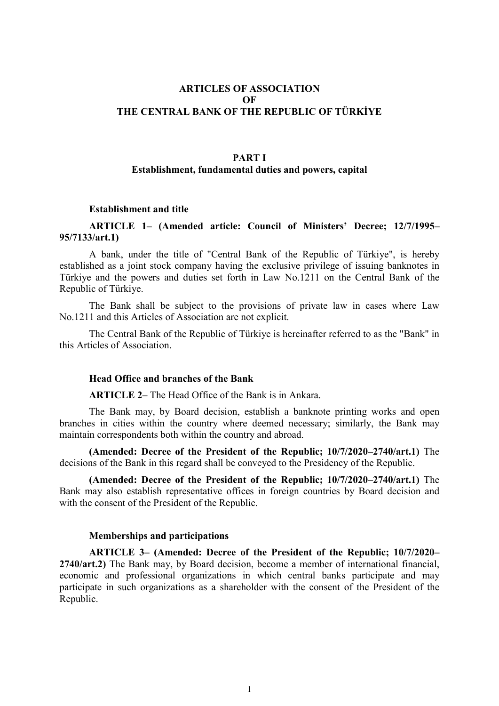# ARTICLES OF ASSOCIATION OF THE CENTRAL BANK OF THE REPUBLIC OF TÜRKİYE

### PART I

## Establishment, fundamental duties and powers, capital

### Establishment and title

## ARTICLE 1– (Amended article: Council of Ministers' Decree; 12/7/1995– 95/7133/art.1)

A bank, under the title of "Central Bank of the Republic of Türkiye", is hereby established as a joint stock company having the exclusive privilege of issuing banknotes in Türkiye and the powers and duties set forth in Law No.1211 on the Central Bank of the Republic of Türkiye.

The Bank shall be subject to the provisions of private law in cases where Law No.1211 and this Articles of Association are not explicit.

The Central Bank of the Republic of Türkiye is hereinafter referred to as the "Bank" in this Articles of Association.

#### Head Office and branches of the Bank

ARTICLE 2– The Head Office of the Bank is in Ankara.

The Bank may, by Board decision, establish a banknote printing works and open branches in cities within the country where deemed necessary; similarly, the Bank may maintain correspondents both within the country and abroad.

(Amended: Decree of the President of the Republic; 10/7/2020–2740/art.1) The decisions of the Bank in this regard shall be conveyed to the Presidency of the Republic.

(Amended: Decree of the President of the Republic; 10/7/2020–2740/art.1) The Bank may also establish representative offices in foreign countries by Board decision and with the consent of the President of the Republic.

### Memberships and participations

ARTICLE 3– (Amended: Decree of the President of the Republic; 10/7/2020– 2740/art.2) The Bank may, by Board decision, become a member of international financial, economic and professional organizations in which central banks participate and may participate in such organizations as a shareholder with the consent of the President of the Republic.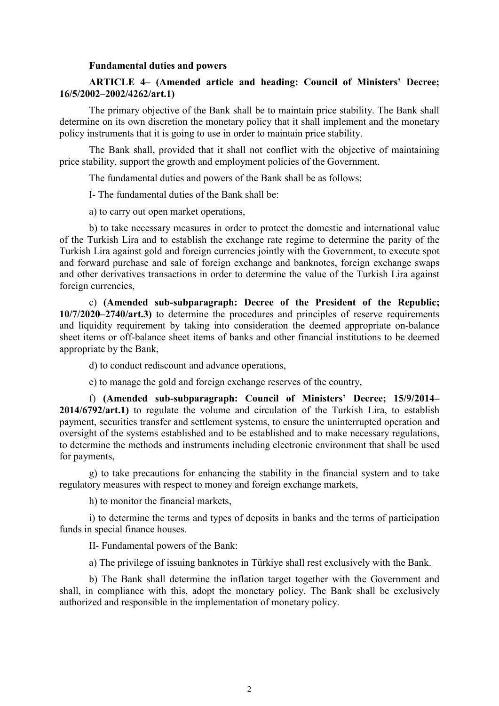### Fundamental duties and powers

# ARTICLE 4– (Amended article and heading: Council of Ministers' Decree; 16/5/2002–2002/4262/art.1)

The primary objective of the Bank shall be to maintain price stability. The Bank shall determine on its own discretion the monetary policy that it shall implement and the monetary policy instruments that it is going to use in order to maintain price stability.

The Bank shall, provided that it shall not conflict with the objective of maintaining price stability, support the growth and employment policies of the Government.

The fundamental duties and powers of the Bank shall be as follows:

I- The fundamental duties of the Bank shall be:

a) to carry out open market operations,

b) to take necessary measures in order to protect the domestic and international value of the Turkish Lira and to establish the exchange rate regime to determine the parity of the Turkish Lira against gold and foreign currencies jointly with the Government, to execute spot and forward purchase and sale of foreign exchange and banknotes, foreign exchange swaps and other derivatives transactions in order to determine the value of the Turkish Lira against foreign currencies,

c) (Amended sub-subparagraph: Decree of the President of the Republic; 10/7/2020–2740/art.3) to determine the procedures and principles of reserve requirements and liquidity requirement by taking into consideration the deemed appropriate on-balance sheet items or off-balance sheet items of banks and other financial institutions to be deemed appropriate by the Bank,

d) to conduct rediscount and advance operations,

e) to manage the gold and foreign exchange reserves of the country,

f) (Amended sub-subparagraph: Council of Ministers' Decree; 15/9/2014– 2014/6792/art.1) to regulate the volume and circulation of the Turkish Lira, to establish payment, securities transfer and settlement systems, to ensure the uninterrupted operation and oversight of the systems established and to be established and to make necessary regulations, to determine the methods and instruments including electronic environment that shall be used for payments,

g) to take precautions for enhancing the stability in the financial system and to take regulatory measures with respect to money and foreign exchange markets,

h) to monitor the financial markets,

i) to determine the terms and types of deposits in banks and the terms of participation funds in special finance houses.

II- Fundamental powers of the Bank:

a) The privilege of issuing banknotes in Türkiye shall rest exclusively with the Bank.

b) The Bank shall determine the inflation target together with the Government and shall, in compliance with this, adopt the monetary policy. The Bank shall be exclusively authorized and responsible in the implementation of monetary policy.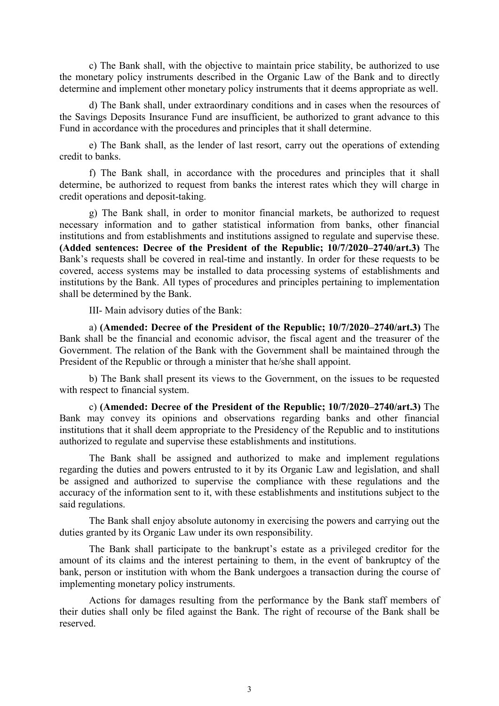c) The Bank shall, with the objective to maintain price stability, be authorized to use the monetary policy instruments described in the Organic Law of the Bank and to directly determine and implement other monetary policy instruments that it deems appropriate as well.

d) The Bank shall, under extraordinary conditions and in cases when the resources of the Savings Deposits Insurance Fund are insufficient, be authorized to grant advance to this Fund in accordance with the procedures and principles that it shall determine.

e) The Bank shall, as the lender of last resort, carry out the operations of extending credit to banks.

f) The Bank shall, in accordance with the procedures and principles that it shall determine, be authorized to request from banks the interest rates which they will charge in credit operations and deposit-taking.

g) The Bank shall, in order to monitor financial markets, be authorized to request necessary information and to gather statistical information from banks, other financial institutions and from establishments and institutions assigned to regulate and supervise these. (Added sentences: Decree of the President of the Republic; 10/7/2020–2740/art.3) The Bank's requests shall be covered in real-time and instantly. In order for these requests to be covered, access systems may be installed to data processing systems of establishments and institutions by the Bank. All types of procedures and principles pertaining to implementation shall be determined by the Bank.

III- Main advisory duties of the Bank:

a) (Amended: Decree of the President of the Republic; 10/7/2020–2740/art.3) The Bank shall be the financial and economic advisor, the fiscal agent and the treasurer of the Government. The relation of the Bank with the Government shall be maintained through the President of the Republic or through a minister that he/she shall appoint.

b) The Bank shall present its views to the Government, on the issues to be requested with respect to financial system.

c) (Amended: Decree of the President of the Republic; 10/7/2020–2740/art.3) The Bank may convey its opinions and observations regarding banks and other financial institutions that it shall deem appropriate to the Presidency of the Republic and to institutions authorized to regulate and supervise these establishments and institutions.

The Bank shall be assigned and authorized to make and implement regulations regarding the duties and powers entrusted to it by its Organic Law and legislation, and shall be assigned and authorized to supervise the compliance with these regulations and the accuracy of the information sent to it, with these establishments and institutions subject to the said regulations.

The Bank shall enjoy absolute autonomy in exercising the powers and carrying out the duties granted by its Organic Law under its own responsibility.

The Bank shall participate to the bankrupt's estate as a privileged creditor for the amount of its claims and the interest pertaining to them, in the event of bankruptcy of the bank, person or institution with whom the Bank undergoes a transaction during the course of implementing monetary policy instruments.

Actions for damages resulting from the performance by the Bank staff members of their duties shall only be filed against the Bank. The right of recourse of the Bank shall be reserved.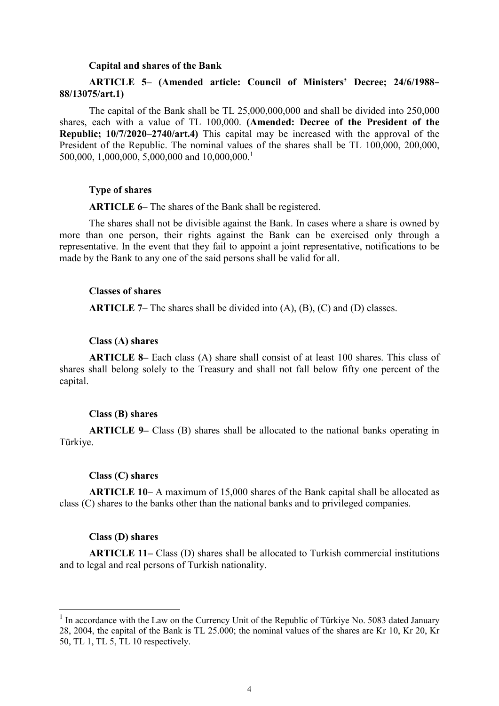#### Capital and shares of the Bank

# ARTICLE 5– (Amended article: Council of Ministers' Decree; 24/6/1988– 88/13075/art.1)

The capital of the Bank shall be TL 25,000,000,000 and shall be divided into 250,000 shares, each with a value of TL 100,000. (Amended: Decree of the President of the Republic; 10/7/2020–2740/art.4) This capital may be increased with the approval of the President of the Republic. The nominal values of the shares shall be TL 100,000, 200,000, 500,000, 1,000,000, 5,000,000 and 10,000,000.<sup>1</sup>

### Type of shares

ARTICLE 6– The shares of the Bank shall be registered.

The shares shall not be divisible against the Bank. In cases where a share is owned by more than one person, their rights against the Bank can be exercised only through a representative. In the event that they fail to appoint a joint representative, notifications to be made by the Bank to any one of the said persons shall be valid for all.

## Classes of shares

**ARTICLE 7–** The shares shall be divided into  $(A)$ ,  $(B)$ ,  $(C)$  and  $(D)$  classes.

#### Class (A) shares

ARTICLE 8– Each class (A) share shall consist of at least 100 shares. This class of shares shall belong solely to the Treasury and shall not fall below fifty one percent of the capital.

#### Class (B) shares

ARTICLE 9– Class (B) shares shall be allocated to the national banks operating in Türkiye.

### Class (C) shares

ARTICLE 10– A maximum of 15,000 shares of the Bank capital shall be allocated as class (C) shares to the banks other than the national banks and to privileged companies.

### Class (D) shares

-

ARTICLE 11– Class (D) shares shall be allocated to Turkish commercial institutions and to legal and real persons of Turkish nationality.

 $<sup>1</sup>$  In accordance with the Law on the Currency Unit of the Republic of Türkiye No. 5083 dated January</sup> 28, 2004, the capital of the Bank is TL 25.000; the nominal values of the shares are Kr 10, Kr 20, Kr 50, TL 1, TL 5, TL 10 respectively.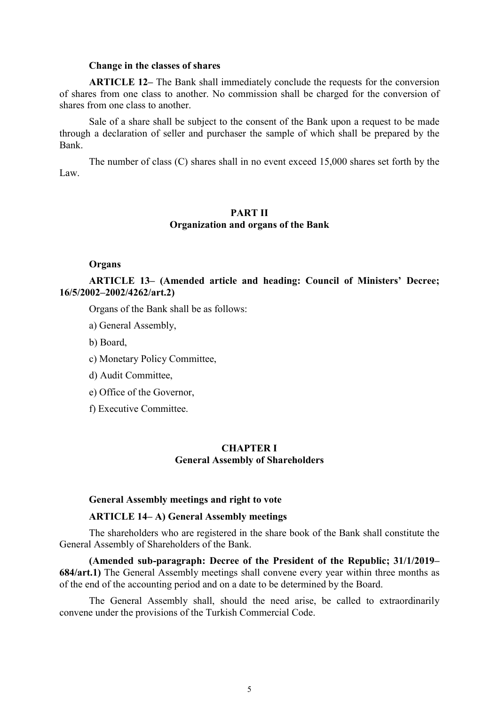#### Change in the classes of shares

ARTICLE 12– The Bank shall immediately conclude the requests for the conversion of shares from one class to another. No commission shall be charged for the conversion of shares from one class to another.

Sale of a share shall be subject to the consent of the Bank upon a request to be made through a declaration of seller and purchaser the sample of which shall be prepared by the Bank.

The number of class (C) shares shall in no event exceed 15,000 shares set forth by the Law.

## PART II Organization and organs of the Bank

## **Organs**

ARTICLE 13– (Amended article and heading: Council of Ministers' Decree; 16/5/2002–2002/4262/art.2)

Organs of the Bank shall be as follows:

- a) General Assembly,
- b) Board,
- c) Monetary Policy Committee,
- d) Audit Committee,
- e) Office of the Governor,
- f) Executive Committee.

## CHAPTER I General Assembly of Shareholders

## General Assembly meetings and right to vote

## ARTICLE 14– A) General Assembly meetings

The shareholders who are registered in the share book of the Bank shall constitute the General Assembly of Shareholders of the Bank.

(Amended sub-paragraph: Decree of the President of the Republic; 31/1/2019– 684/art.1) The General Assembly meetings shall convene every year within three months as of the end of the accounting period and on a date to be determined by the Board.

The General Assembly shall, should the need arise, be called to extraordinarily convene under the provisions of the Turkish Commercial Code.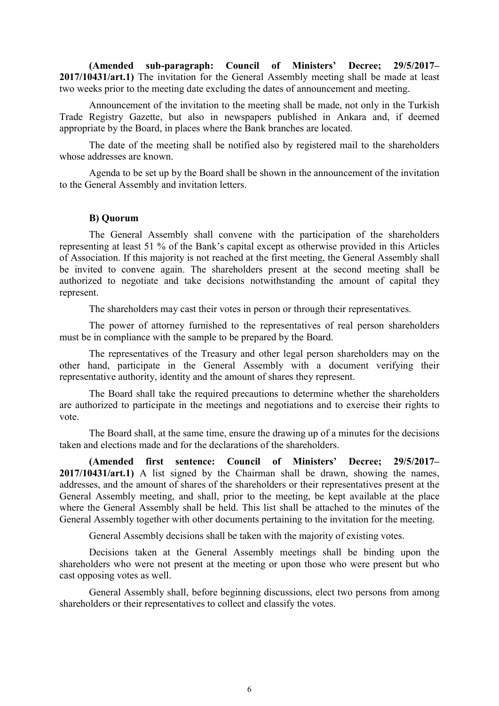(Amended sub-paragraph: Council of Ministers' Decree; 29/5/2017– 2017/10431/art.1) The invitation for the General Assembly meeting shall be made at least two weeks prior to the meeting date excluding the dates of announcement and meeting.

Announcement of the invitation to the meeting shall be made, not only in the Turkish Trade Registry Gazette, but also in newspapers published in Ankara and, if deemed appropriate by the Board, in places where the Bank branches are located.

The date of the meeting shall be notified also by registered mail to the shareholders whose addresses are known.

Agenda to be set up by the Board shall be shown in the announcement of the invitation to the General Assembly and invitation letters.

### B) Quorum

The General Assembly shall convene with the participation of the shareholders representing at least 51 % of the Bank's capital except as otherwise provided in this Articles of Association. If this majority is not reached at the first meeting, the General Assembly shall be invited to convene again. The shareholders present at the second meeting shall be authorized to negotiate and take decisions notwithstanding the amount of capital they represent.

The shareholders may cast their votes in person or through their representatives.

The power of attorney furnished to the representatives of real person shareholders must be in compliance with the sample to be prepared by the Board.

The representatives of the Treasury and other legal person shareholders may on the other hand, participate in the General Assembly with a document verifying their representative authority, identity and the amount of shares they represent.

The Board shall take the required precautions to determine whether the shareholders are authorized to participate in the meetings and negotiations and to exercise their rights to vote.

The Board shall, at the same time, ensure the drawing up of a minutes for the decisions taken and elections made and for the declarations of the shareholders.

(Amended first sentence: Council of Ministers' Decree; 29/5/2017– 2017/10431/art.1) A list signed by the Chairman shall be drawn, showing the names, addresses, and the amount of shares of the shareholders or their representatives present at the General Assembly meeting, and shall, prior to the meeting, be kept available at the place where the General Assembly shall be held. This list shall be attached to the minutes of the General Assembly together with other documents pertaining to the invitation for the meeting.

General Assembly decisions shall be taken with the majority of existing votes.

Decisions taken at the General Assembly meetings shall be binding upon the shareholders who were not present at the meeting or upon those who were present but who cast opposing votes as well.

General Assembly shall, before beginning discussions, elect two persons from among shareholders or their representatives to collect and classify the votes.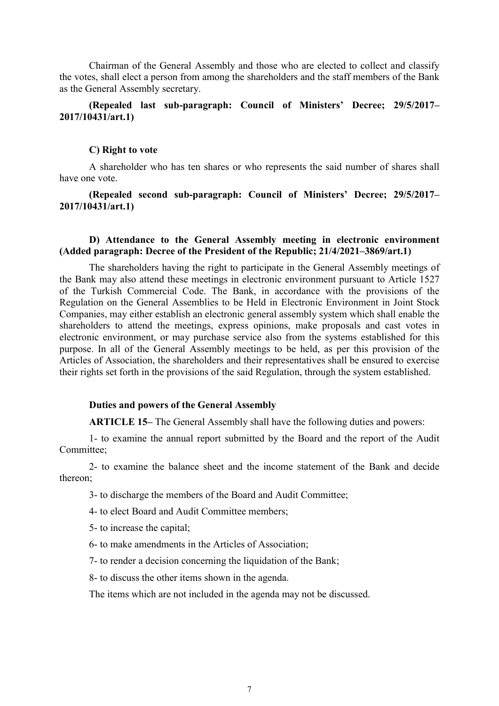Chairman of the General Assembly and those who are elected to collect and classify the votes, shall elect a person from among the shareholders and the staff members of the Bank as the General Assembly secretary.

# (Repealed last sub-paragraph: Council of Ministers' Decree; 29/5/2017– 2017/10431/art.1)

### C) Right to vote

A shareholder who has ten shares or who represents the said number of shares shall have one vote.

(Repealed second sub-paragraph: Council of Ministers' Decree; 29/5/2017– 2017/10431/art.1)

## D) Attendance to the General Assembly meeting in electronic environment (Added paragraph: Decree of the President of the Republic; 21/4/2021–3869/art.1)

The shareholders having the right to participate in the General Assembly meetings of the Bank may also attend these meetings in electronic environment pursuant to Article 1527 of the Turkish Commercial Code. The Bank, in accordance with the provisions of the Regulation on the General Assemblies to be Held in Electronic Environment in Joint Stock Companies, may either establish an electronic general assembly system which shall enable the shareholders to attend the meetings, express opinions, make proposals and cast votes in electronic environment, or may purchase service also from the systems established for this purpose. In all of the General Assembly meetings to be held, as per this provision of the Articles of Association, the shareholders and their representatives shall be ensured to exercise their rights set forth in the provisions of the said Regulation, through the system established.

### Duties and powers of the General Assembly

ARTICLE 15– The General Assembly shall have the following duties and powers:

1- to examine the annual report submitted by the Board and the report of the Audit Committee;

2- to examine the balance sheet and the income statement of the Bank and decide thereon;

3- to discharge the members of the Board and Audit Committee;

4- to elect Board and Audit Committee members;

5- to increase the capital;

6- to make amendments in the Articles of Association;

7- to render a decision concerning the liquidation of the Bank;

8- to discuss the other items shown in the agenda.

The items which are not included in the agenda may not be discussed.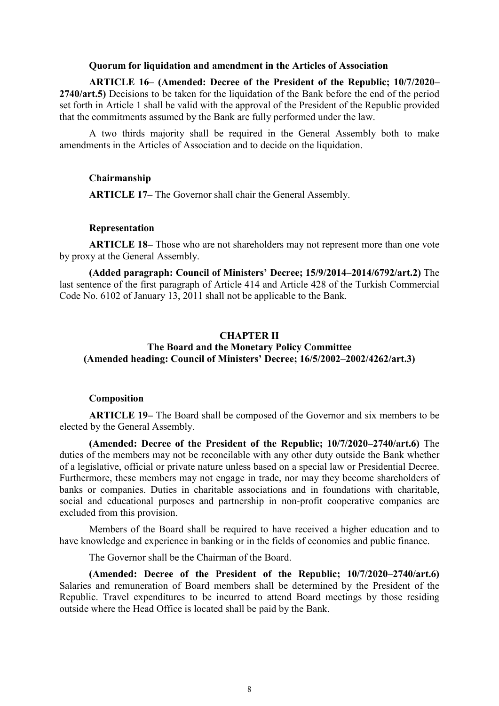### Quorum for liquidation and amendment in the Articles of Association

ARTICLE 16– (Amended: Decree of the President of the Republic; 10/7/2020– 2740/art.5) Decisions to be taken for the liquidation of the Bank before the end of the period set forth in Article 1 shall be valid with the approval of the President of the Republic provided that the commitments assumed by the Bank are fully performed under the law.

A two thirds majority shall be required in the General Assembly both to make amendments in the Articles of Association and to decide on the liquidation.

### Chairmanship

ARTICLE 17– The Governor shall chair the General Assembly.

### Representation

ARTICLE 18– Those who are not shareholders may not represent more than one vote by proxy at the General Assembly.

(Added paragraph: Council of Ministers' Decree; 15/9/2014–2014/6792/art.2) The last sentence of the first paragraph of Article 414 and Article 428 of the Turkish Commercial Code No. 6102 of January 13, 2011 shall not be applicable to the Bank.

# CHAPTER II

# The Board and the Monetary Policy Committee (Amended heading: Council of Ministers' Decree; 16/5/2002–2002/4262/art.3)

### Composition

ARTICLE 19– The Board shall be composed of the Governor and six members to be elected by the General Assembly.

(Amended: Decree of the President of the Republic; 10/7/2020–2740/art.6) The duties of the members may not be reconcilable with any other duty outside the Bank whether of a legislative, official or private nature unless based on a special law or Presidential Decree. Furthermore, these members may not engage in trade, nor may they become shareholders of banks or companies. Duties in charitable associations and in foundations with charitable, social and educational purposes and partnership in non-profit cooperative companies are excluded from this provision.

Members of the Board shall be required to have received a higher education and to have knowledge and experience in banking or in the fields of economics and public finance.

The Governor shall be the Chairman of the Board.

(Amended: Decree of the President of the Republic; 10/7/2020–2740/art.6) Salaries and remuneration of Board members shall be determined by the President of the Republic. Travel expenditures to be incurred to attend Board meetings by those residing outside where the Head Office is located shall be paid by the Bank.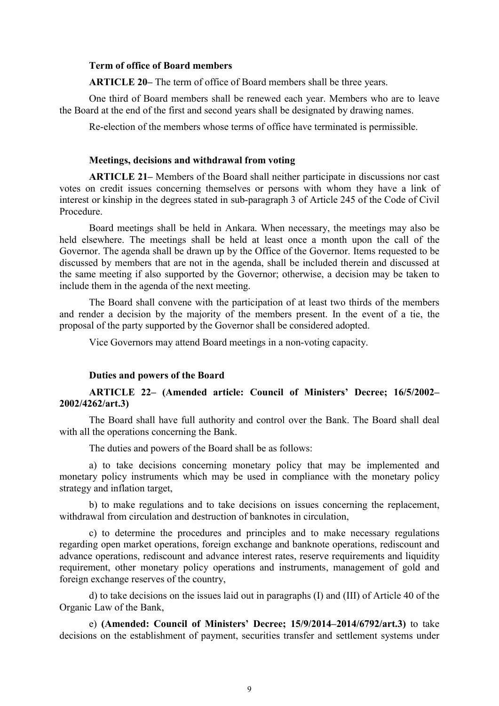## Term of office of Board members

ARTICLE 20– The term of office of Board members shall be three years.

One third of Board members shall be renewed each year. Members who are to leave the Board at the end of the first and second years shall be designated by drawing names.

Re-election of the members whose terms of office have terminated is permissible.

### Meetings, decisions and withdrawal from voting

ARTICLE 21– Members of the Board shall neither participate in discussions nor cast votes on credit issues concerning themselves or persons with whom they have a link of interest or kinship in the degrees stated in sub-paragraph 3 of Article 245 of the Code of Civil Procedure.

Board meetings shall be held in Ankara. When necessary, the meetings may also be held elsewhere. The meetings shall be held at least once a month upon the call of the Governor. The agenda shall be drawn up by the Office of the Governor. Items requested to be discussed by members that are not in the agenda, shall be included therein and discussed at the same meeting if also supported by the Governor; otherwise, a decision may be taken to include them in the agenda of the next meeting.

The Board shall convene with the participation of at least two thirds of the members and render a decision by the majority of the members present. In the event of a tie, the proposal of the party supported by the Governor shall be considered adopted.

Vice Governors may attend Board meetings in a non-voting capacity.

### Duties and powers of the Board

# ARTICLE 22– (Amended article: Council of Ministers' Decree; 16/5/2002– 2002/4262/art.3)

The Board shall have full authority and control over the Bank. The Board shall deal with all the operations concerning the Bank.

The duties and powers of the Board shall be as follows:

a) to take decisions concerning monetary policy that may be implemented and monetary policy instruments which may be used in compliance with the monetary policy strategy and inflation target,

b) to make regulations and to take decisions on issues concerning the replacement, withdrawal from circulation and destruction of banknotes in circulation,

c) to determine the procedures and principles and to make necessary regulations regarding open market operations, foreign exchange and banknote operations, rediscount and advance operations, rediscount and advance interest rates, reserve requirements and liquidity requirement, other monetary policy operations and instruments, management of gold and foreign exchange reserves of the country,

d) to take decisions on the issues laid out in paragraphs (I) and (III) of Article 40 of the Organic Law of the Bank,

e) (Amended: Council of Ministers' Decree; 15/9/2014–2014/6792/art.3) to take decisions on the establishment of payment, securities transfer and settlement systems under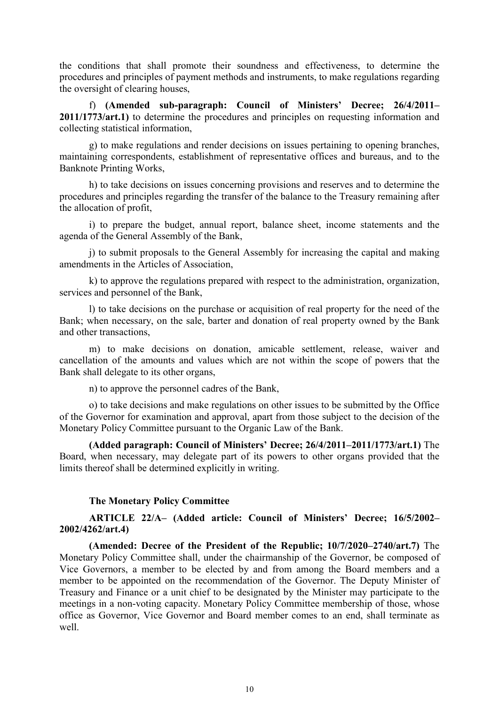the conditions that shall promote their soundness and effectiveness, to determine the procedures and principles of payment methods and instruments, to make regulations regarding the oversight of clearing houses,

f) (Amended sub-paragraph: Council of Ministers' Decree; 26/4/2011– 2011/1773/art.1) to determine the procedures and principles on requesting information and collecting statistical information,

g) to make regulations and render decisions on issues pertaining to opening branches, maintaining correspondents, establishment of representative offices and bureaus, and to the Banknote Printing Works,

h) to take decisions on issues concerning provisions and reserves and to determine the procedures and principles regarding the transfer of the balance to the Treasury remaining after the allocation of profit,

i) to prepare the budget, annual report, balance sheet, income statements and the agenda of the General Assembly of the Bank,

j) to submit proposals to the General Assembly for increasing the capital and making amendments in the Articles of Association,

k) to approve the regulations prepared with respect to the administration, organization, services and personnel of the Bank,

l) to take decisions on the purchase or acquisition of real property for the need of the Bank; when necessary, on the sale, barter and donation of real property owned by the Bank and other transactions,

m) to make decisions on donation, amicable settlement, release, waiver and cancellation of the amounts and values which are not within the scope of powers that the Bank shall delegate to its other organs,

n) to approve the personnel cadres of the Bank,

o) to take decisions and make regulations on other issues to be submitted by the Office of the Governor for examination and approval, apart from those subject to the decision of the Monetary Policy Committee pursuant to the Organic Law of the Bank.

(Added paragraph: Council of Ministers' Decree; 26/4/2011–2011/1773/art.1) The Board, when necessary, may delegate part of its powers to other organs provided that the limits thereof shall be determined explicitly in writing.

## The Monetary Policy Committee

ARTICLE 22/A– (Added article: Council of Ministers' Decree; 16/5/2002– 2002/4262/art.4)

(Amended: Decree of the President of the Republic; 10/7/2020–2740/art.7) The Monetary Policy Committee shall, under the chairmanship of the Governor, be composed of Vice Governors, a member to be elected by and from among the Board members and a member to be appointed on the recommendation of the Governor. The Deputy Minister of Treasury and Finance or a unit chief to be designated by the Minister may participate to the meetings in a non-voting capacity. Monetary Policy Committee membership of those, whose office as Governor, Vice Governor and Board member comes to an end, shall terminate as well.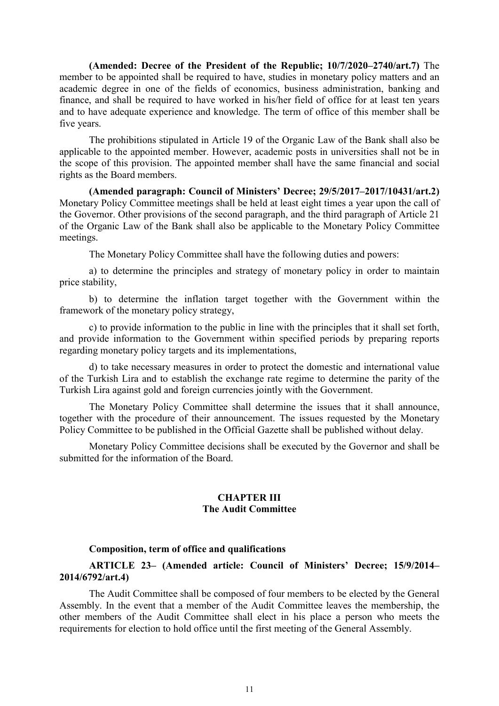(Amended: Decree of the President of the Republic; 10/7/2020–2740/art.7) The member to be appointed shall be required to have, studies in monetary policy matters and an academic degree in one of the fields of economics, business administration, banking and finance, and shall be required to have worked in his/her field of office for at least ten years and to have adequate experience and knowledge. The term of office of this member shall be five years.

The prohibitions stipulated in Article 19 of the Organic Law of the Bank shall also be applicable to the appointed member. However, academic posts in universities shall not be in the scope of this provision. The appointed member shall have the same financial and social rights as the Board members.

(Amended paragraph: Council of Ministers' Decree; 29/5/2017–2017/10431/art.2) Monetary Policy Committee meetings shall be held at least eight times a year upon the call of the Governor. Other provisions of the second paragraph, and the third paragraph of Article 21 of the Organic Law of the Bank shall also be applicable to the Monetary Policy Committee meetings.

The Monetary Policy Committee shall have the following duties and powers:

a) to determine the principles and strategy of monetary policy in order to maintain price stability,

b) to determine the inflation target together with the Government within the framework of the monetary policy strategy,

c) to provide information to the public in line with the principles that it shall set forth, and provide information to the Government within specified periods by preparing reports regarding monetary policy targets and its implementations,

d) to take necessary measures in order to protect the domestic and international value of the Turkish Lira and to establish the exchange rate regime to determine the parity of the Turkish Lira against gold and foreign currencies jointly with the Government.

The Monetary Policy Committee shall determine the issues that it shall announce, together with the procedure of their announcement. The issues requested by the Monetary Policy Committee to be published in the Official Gazette shall be published without delay.

Monetary Policy Committee decisions shall be executed by the Governor and shall be submitted for the information of the Board.

## CHAPTER III The Audit Committee

### Composition, term of office and qualifications

# ARTICLE 23– (Amended article: Council of Ministers' Decree; 15/9/2014– 2014/6792/art.4)

The Audit Committee shall be composed of four members to be elected by the General Assembly. In the event that a member of the Audit Committee leaves the membership, the other members of the Audit Committee shall elect in his place a person who meets the requirements for election to hold office until the first meeting of the General Assembly.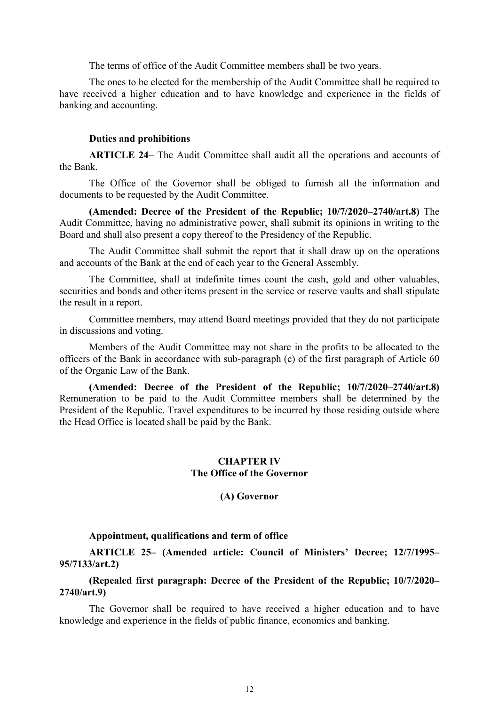The terms of office of the Audit Committee members shall be two years.

The ones to be elected for the membership of the Audit Committee shall be required to have received a higher education and to have knowledge and experience in the fields of banking and accounting.

### Duties and prohibitions

ARTICLE 24– The Audit Committee shall audit all the operations and accounts of the Bank.

The Office of the Governor shall be obliged to furnish all the information and documents to be requested by the Audit Committee.

(Amended: Decree of the President of the Republic; 10/7/2020–2740/art.8) The Audit Committee, having no administrative power, shall submit its opinions in writing to the Board and shall also present a copy thereof to the Presidency of the Republic.

The Audit Committee shall submit the report that it shall draw up on the operations and accounts of the Bank at the end of each year to the General Assembly.

The Committee, shall at indefinite times count the cash, gold and other valuables, securities and bonds and other items present in the service or reserve vaults and shall stipulate the result in a report.

Committee members, may attend Board meetings provided that they do not participate in discussions and voting.

Members of the Audit Committee may not share in the profits to be allocated to the officers of the Bank in accordance with sub-paragraph (c) of the first paragraph of Article 60 of the Organic Law of the Bank.

(Amended: Decree of the President of the Republic; 10/7/2020–2740/art.8) Remuneration to be paid to the Audit Committee members shall be determined by the President of the Republic. Travel expenditures to be incurred by those residing outside where the Head Office is located shall be paid by the Bank.

## CHAPTER IV The Office of the Governor

(A) Governor

### Appointment, qualifications and term of office

ARTICLE 25– (Amended article: Council of Ministers' Decree; 12/7/1995– 95/7133/art.2)

(Repealed first paragraph: Decree of the President of the Republic; 10/7/2020– 2740/art.9)

The Governor shall be required to have received a higher education and to have knowledge and experience in the fields of public finance, economics and banking.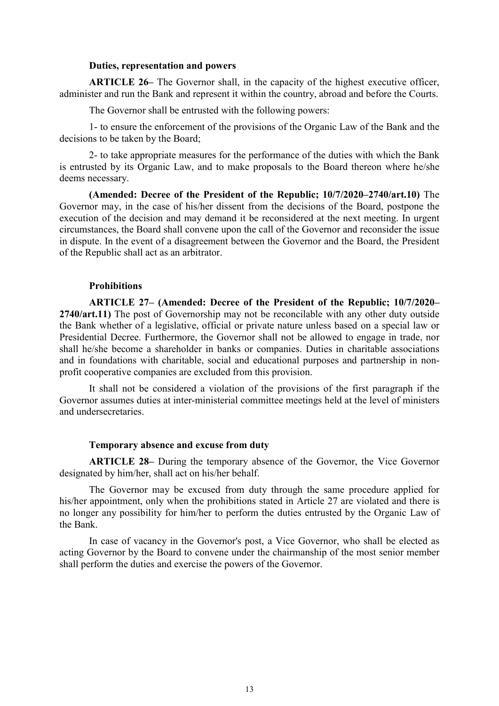## Duties, representation and powers

ARTICLE 26– The Governor shall, in the capacity of the highest executive officer, administer and run the Bank and represent it within the country, abroad and before the Courts.

The Governor shall be entrusted with the following powers:

1- to ensure the enforcement of the provisions of the Organic Law of the Bank and the decisions to be taken by the Board;

2- to take appropriate measures for the performance of the duties with which the Bank is entrusted by its Organic Law, and to make proposals to the Board thereon where he/she deems necessary.

(Amended: Decree of the President of the Republic; 10/7/2020–2740/art.10) The Governor may, in the case of his/her dissent from the decisions of the Board, postpone the execution of the decision and may demand it be reconsidered at the next meeting. In urgent circumstances, the Board shall convene upon the call of the Governor and reconsider the issue in dispute. In the event of a disagreement between the Governor and the Board, the President of the Republic shall act as an arbitrator.

### **Prohibitions**

ARTICLE 27– (Amended: Decree of the President of the Republic; 10/7/2020– 2740/art.11) The post of Governorship may not be reconcilable with any other duty outside the Bank whether of a legislative, official or private nature unless based on a special law or Presidential Decree. Furthermore, the Governor shall not be allowed to engage in trade, nor shall he/she become a shareholder in banks or companies. Duties in charitable associations and in foundations with charitable, social and educational purposes and partnership in nonprofit cooperative companies are excluded from this provision.

It shall not be considered a violation of the provisions of the first paragraph if the Governor assumes duties at inter-ministerial committee meetings held at the level of ministers and undersecretaries.

#### Temporary absence and excuse from duty

ARTICLE 28– During the temporary absence of the Governor, the Vice Governor designated by him/her, shall act on his/her behalf.

The Governor may be excused from duty through the same procedure applied for his/her appointment, only when the prohibitions stated in Article 27 are violated and there is no longer any possibility for him/her to perform the duties entrusted by the Organic Law of the Bank.

In case of vacancy in the Governor's post, a Vice Governor, who shall be elected as acting Governor by the Board to convene under the chairmanship of the most senior member shall perform the duties and exercise the powers of the Governor.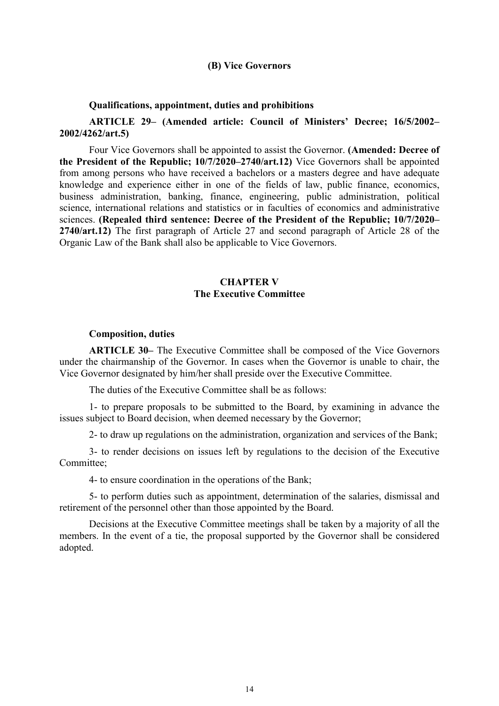### (B) Vice Governors

#### Qualifications, appointment, duties and prohibitions

ARTICLE 29– (Amended article: Council of Ministers' Decree; 16/5/2002– 2002/4262/art.5)

Four Vice Governors shall be appointed to assist the Governor. (Amended: Decree of the President of the Republic; 10/7/2020–2740/art.12) Vice Governors shall be appointed from among persons who have received a bachelors or a masters degree and have adequate knowledge and experience either in one of the fields of law, public finance, economics, business administration, banking, finance, engineering, public administration, political science, international relations and statistics or in faculties of economics and administrative sciences. (Repealed third sentence: Decree of the President of the Republic; 10/7/2020– 2740/art.12) The first paragraph of Article 27 and second paragraph of Article 28 of the Organic Law of the Bank shall also be applicable to Vice Governors.

# CHAPTER V The Executive Committee

#### Composition, duties

ARTICLE 30– The Executive Committee shall be composed of the Vice Governors under the chairmanship of the Governor. In cases when the Governor is unable to chair, the Vice Governor designated by him/her shall preside over the Executive Committee.

The duties of the Executive Committee shall be as follows:

1- to prepare proposals to be submitted to the Board, by examining in advance the issues subject to Board decision, when deemed necessary by the Governor;

2- to draw up regulations on the administration, organization and services of the Bank;

3- to render decisions on issues left by regulations to the decision of the Executive Committee;

4- to ensure coordination in the operations of the Bank;

5- to perform duties such as appointment, determination of the salaries, dismissal and retirement of the personnel other than those appointed by the Board.

Decisions at the Executive Committee meetings shall be taken by a majority of all the members. In the event of a tie, the proposal supported by the Governor shall be considered adopted.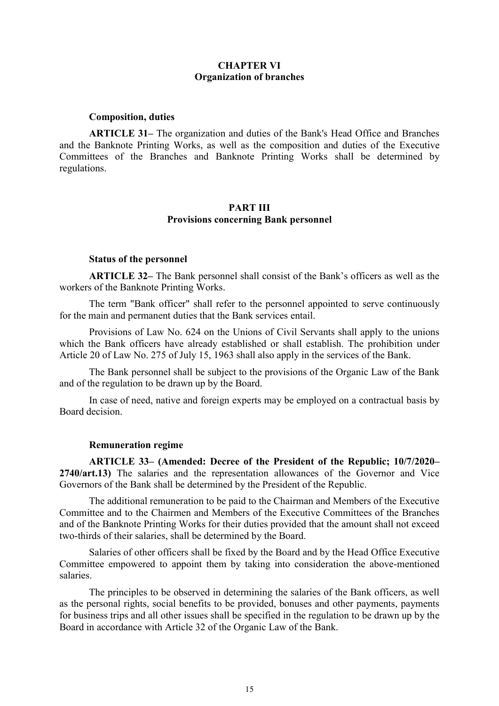## CHAPTER VI Organization of branches

### Composition, duties

ARTICLE 31– The organization and duties of the Bank's Head Office and Branches and the Banknote Printing Works, as well as the composition and duties of the Executive Committees of the Branches and Banknote Printing Works shall be determined by regulations.

### PART III Provisions concerning Bank personnel

#### Status of the personnel

ARTICLE 32– The Bank personnel shall consist of the Bank's officers as well as the workers of the Banknote Printing Works.

The term "Bank officer" shall refer to the personnel appointed to serve continuously for the main and permanent duties that the Bank services entail.

Provisions of Law No. 624 on the Unions of Civil Servants shall apply to the unions which the Bank officers have already established or shall establish. The prohibition under Article 20 of Law No. 275 of July 15, 1963 shall also apply in the services of the Bank.

The Bank personnel shall be subject to the provisions of the Organic Law of the Bank and of the regulation to be drawn up by the Board.

In case of need, native and foreign experts may be employed on a contractual basis by Board decision.

### Remuneration regime

ARTICLE 33– (Amended: Decree of the President of the Republic; 10/7/2020– 2740/art.13) The salaries and the representation allowances of the Governor and Vice Governors of the Bank shall be determined by the President of the Republic.

The additional remuneration to be paid to the Chairman and Members of the Executive Committee and to the Chairmen and Members of the Executive Committees of the Branches and of the Banknote Printing Works for their duties provided that the amount shall not exceed two-thirds of their salaries, shall be determined by the Board.

Salaries of other officers shall be fixed by the Board and by the Head Office Executive Committee empowered to appoint them by taking into consideration the above-mentioned salaries.

The principles to be observed in determining the salaries of the Bank officers, as well as the personal rights, social benefits to be provided, bonuses and other payments, payments for business trips and all other issues shall be specified in the regulation to be drawn up by the Board in accordance with Article 32 of the Organic Law of the Bank.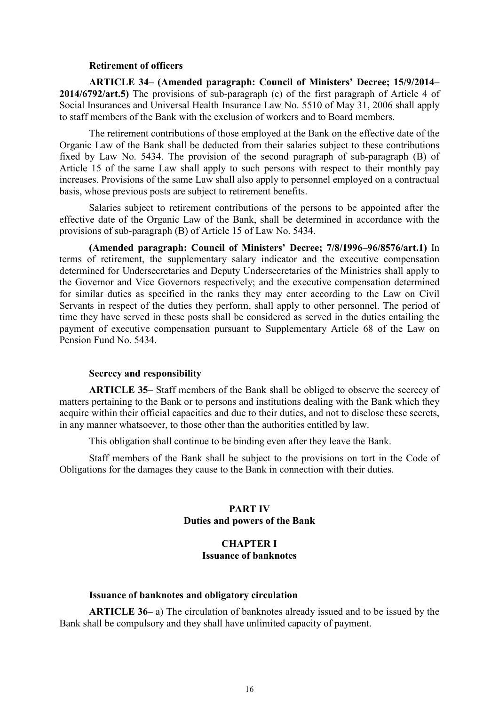### Retirement of officers

ARTICLE 34– (Amended paragraph: Council of Ministers' Decree; 15/9/2014– 2014/6792/art.5) The provisions of sub-paragraph (c) of the first paragraph of Article 4 of Social Insurances and Universal Health Insurance Law No. 5510 of May 31, 2006 shall apply to staff members of the Bank with the exclusion of workers and to Board members.

The retirement contributions of those employed at the Bank on the effective date of the Organic Law of the Bank shall be deducted from their salaries subject to these contributions fixed by Law No. 5434. The provision of the second paragraph of sub-paragraph (B) of Article 15 of the same Law shall apply to such persons with respect to their monthly pay increases. Provisions of the same Law shall also apply to personnel employed on a contractual basis, whose previous posts are subject to retirement benefits.

Salaries subject to retirement contributions of the persons to be appointed after the effective date of the Organic Law of the Bank, shall be determined in accordance with the provisions of sub-paragraph (B) of Article 15 of Law No. 5434.

(Amended paragraph: Council of Ministers' Decree; 7/8/1996–96/8576/art.1) In terms of retirement, the supplementary salary indicator and the executive compensation determined for Undersecretaries and Deputy Undersecretaries of the Ministries shall apply to the Governor and Vice Governors respectively; and the executive compensation determined for similar duties as specified in the ranks they may enter according to the Law on Civil Servants in respect of the duties they perform, shall apply to other personnel. The period of time they have served in these posts shall be considered as served in the duties entailing the payment of executive compensation pursuant to Supplementary Article 68 of the Law on Pension Fund No. 5434.

#### Secrecy and responsibility

ARTICLE 35– Staff members of the Bank shall be obliged to observe the secrecy of matters pertaining to the Bank or to persons and institutions dealing with the Bank which they acquire within their official capacities and due to their duties, and not to disclose these secrets, in any manner whatsoever, to those other than the authorities entitled by law.

This obligation shall continue to be binding even after they leave the Bank.

Staff members of the Bank shall be subject to the provisions on tort in the Code of Obligations for the damages they cause to the Bank in connection with their duties.

## PART IV Duties and powers of the Bank

# CHAPTER I Issuance of banknotes

### Issuance of banknotes and obligatory circulation

ARTICLE 36– a) The circulation of banknotes already issued and to be issued by the Bank shall be compulsory and they shall have unlimited capacity of payment.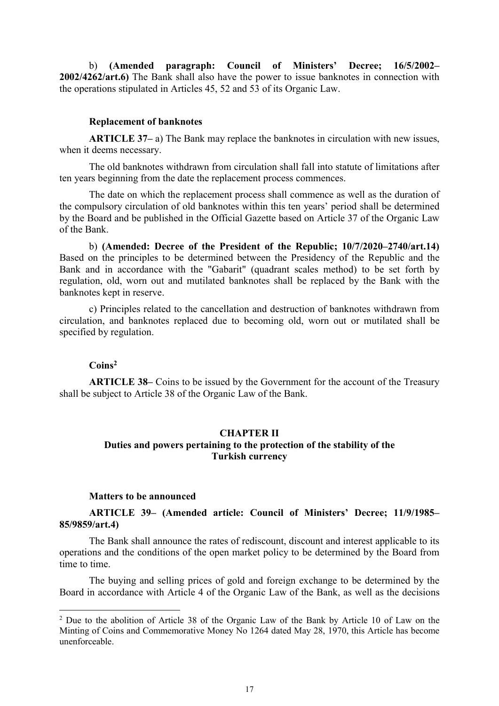b) (Amended paragraph: Council of Ministers' Decree; 16/5/2002– 2002/4262/art.6) The Bank shall also have the power to issue banknotes in connection with the operations stipulated in Articles 45, 52 and 53 of its Organic Law.

### Replacement of banknotes

ARTICLE 37– a) The Bank may replace the banknotes in circulation with new issues, when it deems necessary.

The old banknotes withdrawn from circulation shall fall into statute of limitations after ten years beginning from the date the replacement process commences.

The date on which the replacement process shall commence as well as the duration of the compulsory circulation of old banknotes within this ten years' period shall be determined by the Board and be published in the Official Gazette based on Article 37 of the Organic Law of the Bank.

b) (Amended: Decree of the President of the Republic; 10/7/2020–2740/art.14) Based on the principles to be determined between the Presidency of the Republic and the Bank and in accordance with the "Gabarit" (quadrant scales method) to be set forth by regulation, old, worn out and mutilated banknotes shall be replaced by the Bank with the banknotes kept in reserve.

c) Principles related to the cancellation and destruction of banknotes withdrawn from circulation, and banknotes replaced due to becoming old, worn out or mutilated shall be specified by regulation.

## Coins<sup>2</sup>

-

ARTICLE 38– Coins to be issued by the Government for the account of the Treasury shall be subject to Article 38 of the Organic Law of the Bank.

# CHAPTER II Duties and powers pertaining to the protection of the stability of the Turkish currency

### Matters to be announced

ARTICLE 39– (Amended article: Council of Ministers' Decree; 11/9/1985– 85/9859/art.4)

The Bank shall announce the rates of rediscount, discount and interest applicable to its operations and the conditions of the open market policy to be determined by the Board from time to time.

The buying and selling prices of gold and foreign exchange to be determined by the Board in accordance with Article 4 of the Organic Law of the Bank, as well as the decisions

<sup>&</sup>lt;sup>2</sup> Due to the abolition of Article 38 of the Organic Law of the Bank by Article 10 of Law on the Minting of Coins and Commemorative Money No 1264 dated May 28, 1970, this Article has become unenforceable.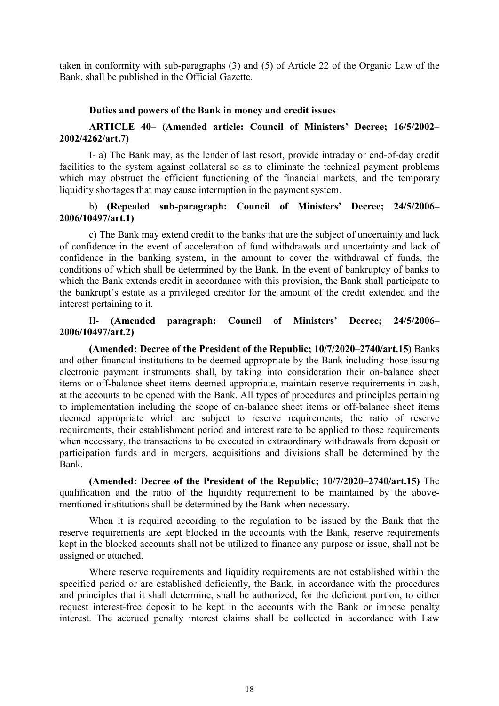taken in conformity with sub-paragraphs (3) and (5) of Article 22 of the Organic Law of the Bank, shall be published in the Official Gazette.

## Duties and powers of the Bank in money and credit issues

# ARTICLE 40– (Amended article: Council of Ministers' Decree; 16/5/2002– 2002/4262/art.7)

I- a) The Bank may, as the lender of last resort, provide intraday or end-of-day credit facilities to the system against collateral so as to eliminate the technical payment problems which may obstruct the efficient functioning of the financial markets, and the temporary liquidity shortages that may cause interruption in the payment system.

## b) (Repealed sub-paragraph: Council of Ministers' Decree; 24/5/2006– 2006/10497/art.1)

c) The Bank may extend credit to the banks that are the subject of uncertainty and lack of confidence in the event of acceleration of fund withdrawals and uncertainty and lack of confidence in the banking system, in the amount to cover the withdrawal of funds, the conditions of which shall be determined by the Bank. In the event of bankruptcy of banks to which the Bank extends credit in accordance with this provision, the Bank shall participate to the bankrupt's estate as a privileged creditor for the amount of the credit extended and the interest pertaining to it.

## II- (Amended paragraph: Council of Ministers' Decree; 24/5/2006– 2006/10497/art.2)

(Amended: Decree of the President of the Republic; 10/7/2020–2740/art.15) Banks and other financial institutions to be deemed appropriate by the Bank including those issuing electronic payment instruments shall, by taking into consideration their on-balance sheet items or off-balance sheet items deemed appropriate, maintain reserve requirements in cash, at the accounts to be opened with the Bank. All types of procedures and principles pertaining to implementation including the scope of on-balance sheet items or off-balance sheet items deemed appropriate which are subject to reserve requirements, the ratio of reserve requirements, their establishment period and interest rate to be applied to those requirements when necessary, the transactions to be executed in extraordinary withdrawals from deposit or participation funds and in mergers, acquisitions and divisions shall be determined by the Bank.

(Amended: Decree of the President of the Republic; 10/7/2020–2740/art.15) The qualification and the ratio of the liquidity requirement to be maintained by the abovementioned institutions shall be determined by the Bank when necessary.

When it is required according to the regulation to be issued by the Bank that the reserve requirements are kept blocked in the accounts with the Bank, reserve requirements kept in the blocked accounts shall not be utilized to finance any purpose or issue, shall not be assigned or attached.

Where reserve requirements and liquidity requirements are not established within the specified period or are established deficiently, the Bank, in accordance with the procedures and principles that it shall determine, shall be authorized, for the deficient portion, to either request interest-free deposit to be kept in the accounts with the Bank or impose penalty interest. The accrued penalty interest claims shall be collected in accordance with Law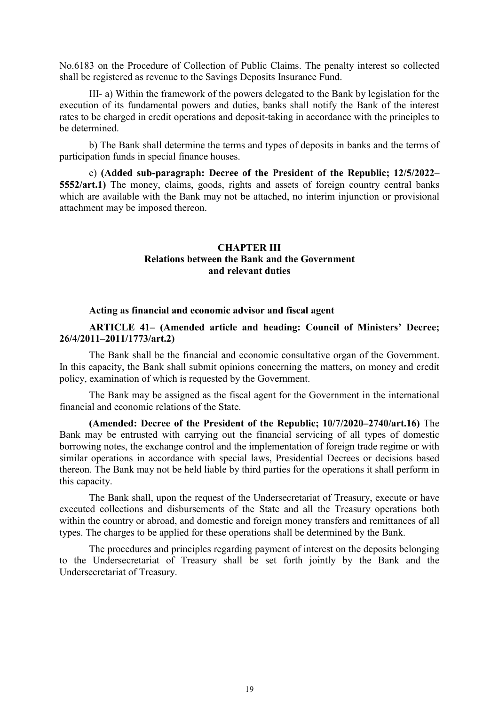No.6183 on the Procedure of Collection of Public Claims. The penalty interest so collected shall be registered as revenue to the Savings Deposits Insurance Fund.

III- a) Within the framework of the powers delegated to the Bank by legislation for the execution of its fundamental powers and duties, banks shall notify the Bank of the interest rates to be charged in credit operations and deposit-taking in accordance with the principles to be determined.

b) The Bank shall determine the terms and types of deposits in banks and the terms of participation funds in special finance houses.

c) (Added sub-paragraph: Decree of the President of the Republic; 12/5/2022– 5552/art.1) The money, claims, goods, rights and assets of foreign country central banks which are available with the Bank may not be attached, no interim injunction or provisional attachment may be imposed thereon.

## CHAPTER III Relations between the Bank and the Government and relevant duties

### Acting as financial and economic advisor and fiscal agent

# ARTICLE 41– (Amended article and heading: Council of Ministers' Decree; 26/4/2011–2011/1773/art.2)

The Bank shall be the financial and economic consultative organ of the Government. In this capacity, the Bank shall submit opinions concerning the matters, on money and credit policy, examination of which is requested by the Government.

The Bank may be assigned as the fiscal agent for the Government in the international financial and economic relations of the State.

(Amended: Decree of the President of the Republic; 10/7/2020–2740/art.16) The Bank may be entrusted with carrying out the financial servicing of all types of domestic borrowing notes, the exchange control and the implementation of foreign trade regime or with similar operations in accordance with special laws, Presidential Decrees or decisions based thereon. The Bank may not be held liable by third parties for the operations it shall perform in this capacity.

The Bank shall, upon the request of the Undersecretariat of Treasury, execute or have executed collections and disbursements of the State and all the Treasury operations both within the country or abroad, and domestic and foreign money transfers and remittances of all types. The charges to be applied for these operations shall be determined by the Bank.

The procedures and principles regarding payment of interest on the deposits belonging to the Undersecretariat of Treasury shall be set forth jointly by the Bank and the Undersecretariat of Treasury.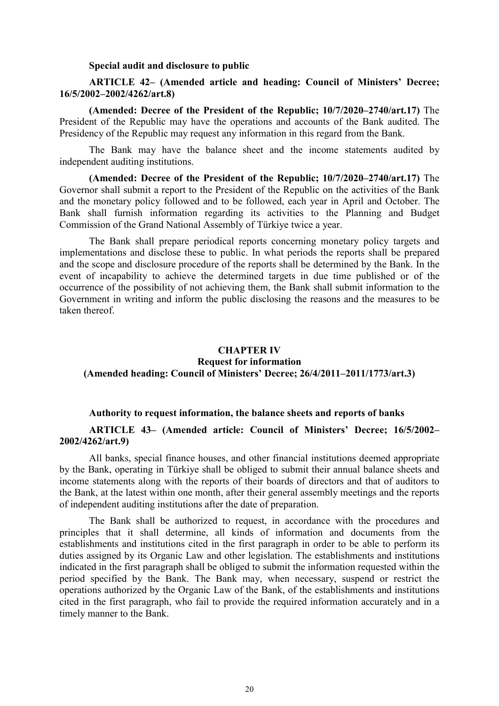#### Special audit and disclosure to public

## ARTICLE 42– (Amended article and heading: Council of Ministers' Decree; 16/5/2002–2002/4262/art.8)

(Amended: Decree of the President of the Republic; 10/7/2020–2740/art.17) The President of the Republic may have the operations and accounts of the Bank audited. The Presidency of the Republic may request any information in this regard from the Bank.

The Bank may have the balance sheet and the income statements audited by independent auditing institutions.

(Amended: Decree of the President of the Republic; 10/7/2020–2740/art.17) The Governor shall submit a report to the President of the Republic on the activities of the Bank and the monetary policy followed and to be followed, each year in April and October. The Bank shall furnish information regarding its activities to the Planning and Budget Commission of the Grand National Assembly of Türkiye twice a year.

The Bank shall prepare periodical reports concerning monetary policy targets and implementations and disclose these to public. In what periods the reports shall be prepared and the scope and disclosure procedure of the reports shall be determined by the Bank. In the event of incapability to achieve the determined targets in due time published or of the occurrence of the possibility of not achieving them, the Bank shall submit information to the Government in writing and inform the public disclosing the reasons and the measures to be taken thereof.

# CHAPTER IV Request for information (Amended heading: Council of Ministers' Decree; 26/4/2011–2011/1773/art.3)

### Authority to request information, the balance sheets and reports of banks

## ARTICLE 43– (Amended article: Council of Ministers' Decree; 16/5/2002– 2002/4262/art.9)

All banks, special finance houses, and other financial institutions deemed appropriate by the Bank, operating in Türkiye shall be obliged to submit their annual balance sheets and income statements along with the reports of their boards of directors and that of auditors to the Bank, at the latest within one month, after their general assembly meetings and the reports of independent auditing institutions after the date of preparation.

The Bank shall be authorized to request, in accordance with the procedures and principles that it shall determine, all kinds of information and documents from the establishments and institutions cited in the first paragraph in order to be able to perform its duties assigned by its Organic Law and other legislation. The establishments and institutions indicated in the first paragraph shall be obliged to submit the information requested within the period specified by the Bank. The Bank may, when necessary, suspend or restrict the operations authorized by the Organic Law of the Bank, of the establishments and institutions cited in the first paragraph, who fail to provide the required information accurately and in a timely manner to the Bank.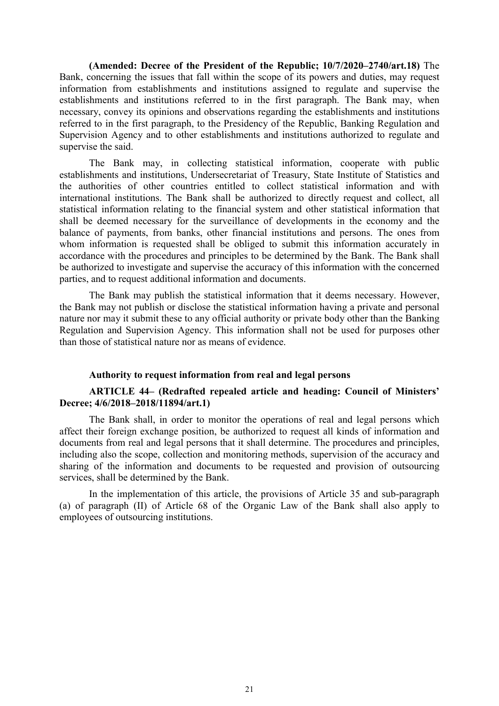(Amended: Decree of the President of the Republic; 10/7/2020–2740/art.18) The Bank, concerning the issues that fall within the scope of its powers and duties, may request information from establishments and institutions assigned to regulate and supervise the establishments and institutions referred to in the first paragraph. The Bank may, when necessary, convey its opinions and observations regarding the establishments and institutions referred to in the first paragraph, to the Presidency of the Republic, Banking Regulation and Supervision Agency and to other establishments and institutions authorized to regulate and supervise the said.

The Bank may, in collecting statistical information, cooperate with public establishments and institutions, Undersecretariat of Treasury, State Institute of Statistics and the authorities of other countries entitled to collect statistical information and with international institutions. The Bank shall be authorized to directly request and collect, all statistical information relating to the financial system and other statistical information that shall be deemed necessary for the surveillance of developments in the economy and the balance of payments, from banks, other financial institutions and persons. The ones from whom information is requested shall be obliged to submit this information accurately in accordance with the procedures and principles to be determined by the Bank. The Bank shall be authorized to investigate and supervise the accuracy of this information with the concerned parties, and to request additional information and documents.

The Bank may publish the statistical information that it deems necessary. However, the Bank may not publish or disclose the statistical information having a private and personal nature nor may it submit these to any official authority or private body other than the Banking Regulation and Supervision Agency. This information shall not be used for purposes other than those of statistical nature nor as means of evidence.

## Authority to request information from real and legal persons

## ARTICLE 44– (Redrafted repealed article and heading: Council of Ministers' Decree; 4/6/2018–2018/11894/art.1)

The Bank shall, in order to monitor the operations of real and legal persons which affect their foreign exchange position, be authorized to request all kinds of information and documents from real and legal persons that it shall determine. The procedures and principles, including also the scope, collection and monitoring methods, supervision of the accuracy and sharing of the information and documents to be requested and provision of outsourcing services, shall be determined by the Bank.

In the implementation of this article, the provisions of Article 35 and sub-paragraph (a) of paragraph (II) of Article 68 of the Organic Law of the Bank shall also apply to employees of outsourcing institutions.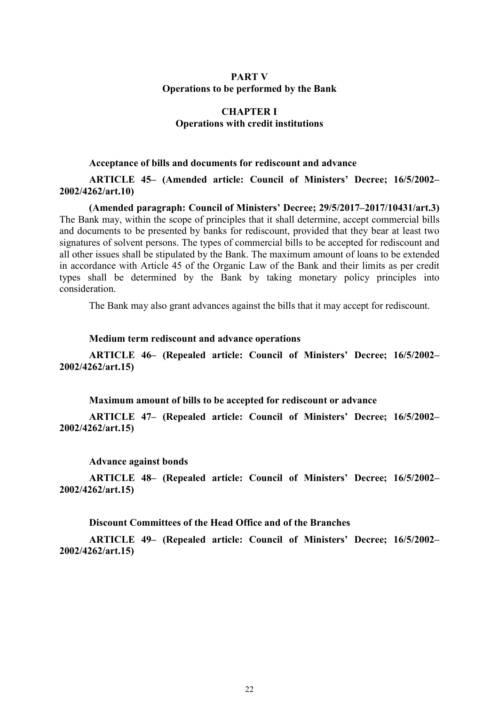## PART V Operations to be performed by the Bank

# CHAPTER I Operations with credit institutions

# Acceptance of bills and documents for rediscount and advance

ARTICLE 45– (Amended article: Council of Ministers' Decree; 16/5/2002– 2002/4262/art.10)

(Amended paragraph: Council of Ministers' Decree; 29/5/2017–2017/10431/art.3) The Bank may, within the scope of principles that it shall determine, accept commercial bills and documents to be presented by banks for rediscount, provided that they bear at least two signatures of solvent persons. The types of commercial bills to be accepted for rediscount and all other issues shall be stipulated by the Bank. The maximum amount of loans to be extended in accordance with Article 45 of the Organic Law of the Bank and their limits as per credit types shall be determined by the Bank by taking monetary policy principles into consideration.

The Bank may also grant advances against the bills that it may accept for rediscount.

### Medium term rediscount and advance operations

ARTICLE 46– (Repealed article: Council of Ministers' Decree; 16/5/2002– 2002/4262/art.15)

Maximum amount of bills to be accepted for rediscount or advance

ARTICLE 47– (Repealed article: Council of Ministers' Decree; 16/5/2002– 2002/4262/art.15)

#### Advance against bonds

ARTICLE 48– (Repealed article: Council of Ministers' Decree; 16/5/2002– 2002/4262/art.15)

#### Discount Committees of the Head Office and of the Branches

ARTICLE 49– (Repealed article: Council of Ministers' Decree; 16/5/2002– 2002/4262/art.15)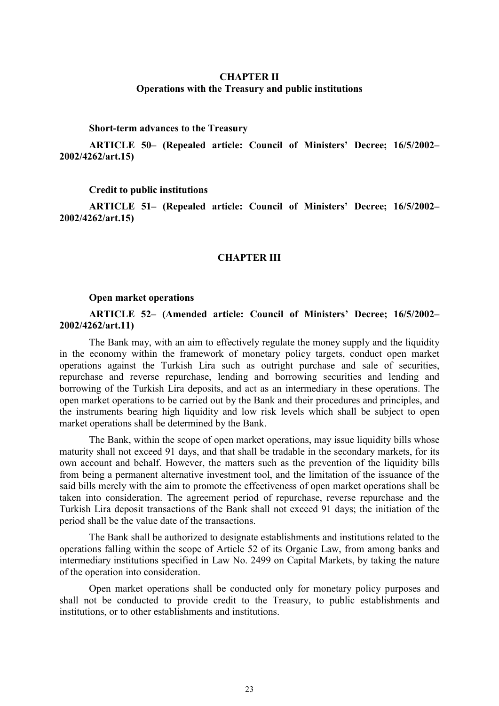## CHAPTER II Operations with the Treasury and public institutions

### Short-term advances to the Treasury

ARTICLE 50– (Repealed article: Council of Ministers' Decree; 16/5/2002– 2002/4262/art.15)

#### Credit to public institutions

ARTICLE 51– (Repealed article: Council of Ministers' Decree; 16/5/2002– 2002/4262/art.15)

### CHAPTER III

#### Open market operations

## ARTICLE 52– (Amended article: Council of Ministers' Decree; 16/5/2002– 2002/4262/art.11)

The Bank may, with an aim to effectively regulate the money supply and the liquidity in the economy within the framework of monetary policy targets, conduct open market operations against the Turkish Lira such as outright purchase and sale of securities, repurchase and reverse repurchase, lending and borrowing securities and lending and borrowing of the Turkish Lira deposits, and act as an intermediary in these operations. The open market operations to be carried out by the Bank and their procedures and principles, and the instruments bearing high liquidity and low risk levels which shall be subject to open market operations shall be determined by the Bank.

The Bank, within the scope of open market operations, may issue liquidity bills whose maturity shall not exceed 91 days, and that shall be tradable in the secondary markets, for its own account and behalf. However, the matters such as the prevention of the liquidity bills from being a permanent alternative investment tool, and the limitation of the issuance of the said bills merely with the aim to promote the effectiveness of open market operations shall be taken into consideration. The agreement period of repurchase, reverse repurchase and the Turkish Lira deposit transactions of the Bank shall not exceed 91 days; the initiation of the period shall be the value date of the transactions.

The Bank shall be authorized to designate establishments and institutions related to the operations falling within the scope of Article 52 of its Organic Law, from among banks and intermediary institutions specified in Law No. 2499 on Capital Markets, by taking the nature of the operation into consideration.

Open market operations shall be conducted only for monetary policy purposes and shall not be conducted to provide credit to the Treasury, to public establishments and institutions, or to other establishments and institutions.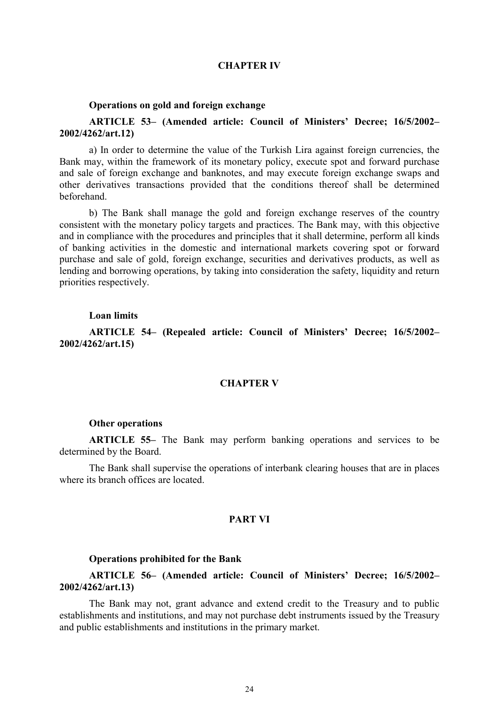### CHAPTER IV

#### Operations on gold and foreign exchange

## ARTICLE 53– (Amended article: Council of Ministers' Decree; 16/5/2002– 2002/4262/art.12)

a) In order to determine the value of the Turkish Lira against foreign currencies, the Bank may, within the framework of its monetary policy, execute spot and forward purchase and sale of foreign exchange and banknotes, and may execute foreign exchange swaps and other derivatives transactions provided that the conditions thereof shall be determined beforehand.

b) The Bank shall manage the gold and foreign exchange reserves of the country consistent with the monetary policy targets and practices. The Bank may, with this objective and in compliance with the procedures and principles that it shall determine, perform all kinds of banking activities in the domestic and international markets covering spot or forward purchase and sale of gold, foreign exchange, securities and derivatives products, as well as lending and borrowing operations, by taking into consideration the safety, liquidity and return priorities respectively.

#### Loan limits

ARTICLE 54– (Repealed article: Council of Ministers' Decree; 16/5/2002– 2002/4262/art.15)

### CHAPTER V

#### Other operations

ARTICLE 55– The Bank may perform banking operations and services to be determined by the Board.

The Bank shall supervise the operations of interbank clearing houses that are in places where its branch offices are located.

## PART VI

#### Operations prohibited for the Bank

# ARTICLE 56– (Amended article: Council of Ministers' Decree; 16/5/2002– 2002/4262/art.13)

The Bank may not, grant advance and extend credit to the Treasury and to public establishments and institutions, and may not purchase debt instruments issued by the Treasury and public establishments and institutions in the primary market.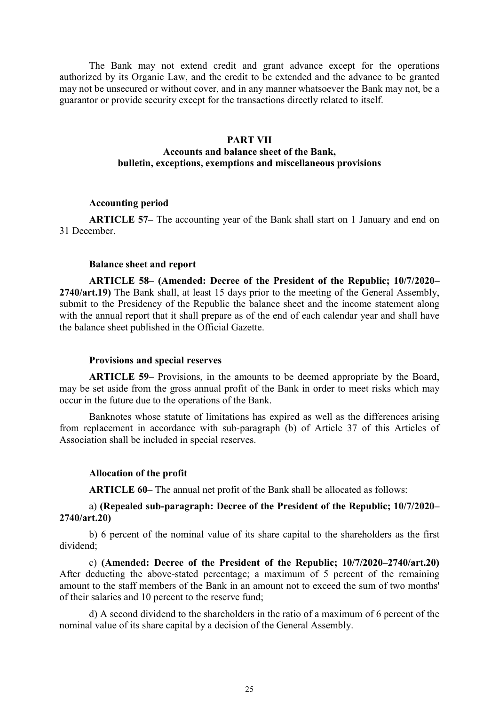The Bank may not extend credit and grant advance except for the operations authorized by its Organic Law, and the credit to be extended and the advance to be granted may not be unsecured or without cover, and in any manner whatsoever the Bank may not, be a guarantor or provide security except for the transactions directly related to itself.

### PART VII

# Accounts and balance sheet of the Bank, bulletin, exceptions, exemptions and miscellaneous provisions

## Accounting period

ARTICLE 57– The accounting year of the Bank shall start on 1 January and end on 31 December.

### Balance sheet and report

ARTICLE 58– (Amended: Decree of the President of the Republic; 10/7/2020– 2740/art.19) The Bank shall, at least 15 days prior to the meeting of the General Assembly, submit to the Presidency of the Republic the balance sheet and the income statement along with the annual report that it shall prepare as of the end of each calendar year and shall have the balance sheet published in the Official Gazette.

#### Provisions and special reserves

ARTICLE 59– Provisions, in the amounts to be deemed appropriate by the Board, may be set aside from the gross annual profit of the Bank in order to meet risks which may occur in the future due to the operations of the Bank.

Banknotes whose statute of limitations has expired as well as the differences arising from replacement in accordance with sub-paragraph (b) of Article 37 of this Articles of Association shall be included in special reserves.

### Allocation of the profit

ARTICLE 60– The annual net profit of the Bank shall be allocated as follows:

## a) (Repealed sub-paragraph: Decree of the President of the Republic; 10/7/2020– 2740/art.20)

b) 6 percent of the nominal value of its share capital to the shareholders as the first dividend;

c) (Amended: Decree of the President of the Republic; 10/7/2020–2740/art.20) After deducting the above-stated percentage; a maximum of 5 percent of the remaining amount to the staff members of the Bank in an amount not to exceed the sum of two months' of their salaries and 10 percent to the reserve fund;

d) A second dividend to the shareholders in the ratio of a maximum of 6 percent of the nominal value of its share capital by a decision of the General Assembly.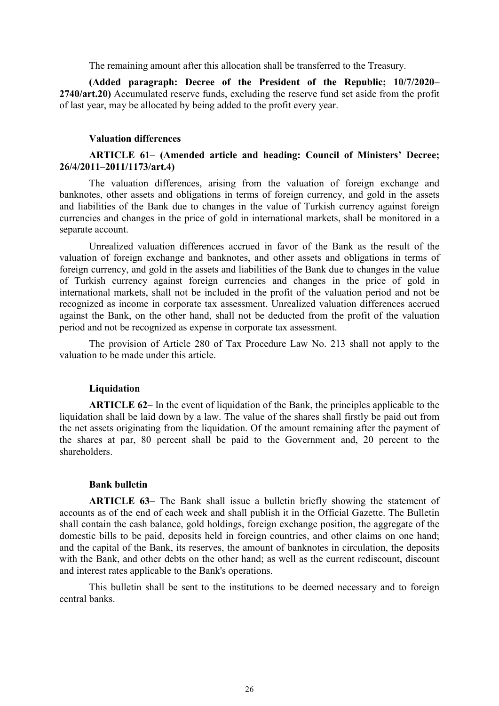The remaining amount after this allocation shall be transferred to the Treasury.

(Added paragraph: Decree of the President of the Republic; 10/7/2020– 2740/art.20) Accumulated reserve funds, excluding the reserve fund set aside from the profit of last year, may be allocated by being added to the profit every year.

#### Valuation differences

## ARTICLE 61– (Amended article and heading: Council of Ministers' Decree; 26/4/2011–2011/1173/art.4)

The valuation differences, arising from the valuation of foreign exchange and banknotes, other assets and obligations in terms of foreign currency, and gold in the assets and liabilities of the Bank due to changes in the value of Turkish currency against foreign currencies and changes in the price of gold in international markets, shall be monitored in a separate account.

Unrealized valuation differences accrued in favor of the Bank as the result of the valuation of foreign exchange and banknotes, and other assets and obligations in terms of foreign currency, and gold in the assets and liabilities of the Bank due to changes in the value of Turkish currency against foreign currencies and changes in the price of gold in international markets, shall not be included in the profit of the valuation period and not be recognized as income in corporate tax assessment. Unrealized valuation differences accrued against the Bank, on the other hand, shall not be deducted from the profit of the valuation period and not be recognized as expense in corporate tax assessment.

The provision of Article 280 of Tax Procedure Law No. 213 shall not apply to the valuation to be made under this article.

#### Liquidation

ARTICLE 62– In the event of liquidation of the Bank, the principles applicable to the liquidation shall be laid down by a law. The value of the shares shall firstly be paid out from the net assets originating from the liquidation. Of the amount remaining after the payment of the shares at par, 80 percent shall be paid to the Government and, 20 percent to the shareholders.

### Bank bulletin

ARTICLE 63– The Bank shall issue a bulletin briefly showing the statement of accounts as of the end of each week and shall publish it in the Official Gazette. The Bulletin shall contain the cash balance, gold holdings, foreign exchange position, the aggregate of the domestic bills to be paid, deposits held in foreign countries, and other claims on one hand; and the capital of the Bank, its reserves, the amount of banknotes in circulation, the deposits with the Bank, and other debts on the other hand; as well as the current rediscount, discount and interest rates applicable to the Bank's operations.

This bulletin shall be sent to the institutions to be deemed necessary and to foreign central banks.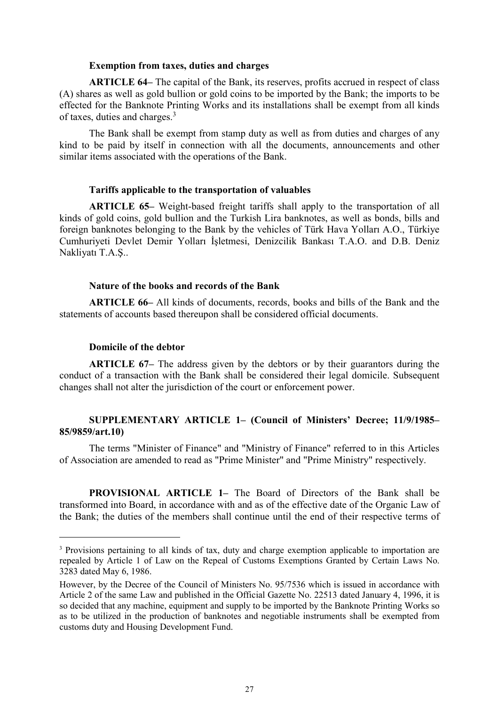### Exemption from taxes, duties and charges

ARTICLE 64– The capital of the Bank, its reserves, profits accrued in respect of class (A) shares as well as gold bullion or gold coins to be imported by the Bank; the imports to be effected for the Banknote Printing Works and its installations shall be exempt from all kinds of taxes, duties and charges.<sup>3</sup>

The Bank shall be exempt from stamp duty as well as from duties and charges of any kind to be paid by itself in connection with all the documents, announcements and other similar items associated with the operations of the Bank.

### Tariffs applicable to the transportation of valuables

ARTICLE 65– Weight-based freight tariffs shall apply to the transportation of all kinds of gold coins, gold bullion and the Turkish Lira banknotes, as well as bonds, bills and foreign banknotes belonging to the Bank by the vehicles of Türk Hava Yolları A.O., Türkiye Cumhuriyeti Devlet Demir Yolları İşletmesi, Denizcilik Bankası T.A.O. and D.B. Deniz Nakliyatı T.A.Ş..

## Nature of the books and records of the Bank

ARTICLE 66– All kinds of documents, records, books and bills of the Bank and the statements of accounts based thereupon shall be considered official documents.

## Domicile of the debtor

-

ARTICLE 67– The address given by the debtors or by their guarantors during the conduct of a transaction with the Bank shall be considered their legal domicile. Subsequent changes shall not alter the jurisdiction of the court or enforcement power.

## SUPPLEMENTARY ARTICLE 1– (Council of Ministers' Decree; 11/9/1985– 85/9859/art.10)

The terms "Minister of Finance" and "Ministry of Finance" referred to in this Articles of Association are amended to read as "Prime Minister" and "Prime Ministry" respectively.

PROVISIONAL ARTICLE 1– The Board of Directors of the Bank shall be transformed into Board, in accordance with and as of the effective date of the Organic Law of the Bank; the duties of the members shall continue until the end of their respective terms of

<sup>&</sup>lt;sup>3</sup> Provisions pertaining to all kinds of tax, duty and charge exemption applicable to importation are repealed by Article 1 of Law on the Repeal of Customs Exemptions Granted by Certain Laws No. 3283 dated May 6, 1986.

However, by the Decree of the Council of Ministers No. 95/7536 which is issued in accordance with Article 2 of the same Law and published in the Official Gazette No. 22513 dated January 4, 1996, it is so decided that any machine, equipment and supply to be imported by the Banknote Printing Works so as to be utilized in the production of banknotes and negotiable instruments shall be exempted from customs duty and Housing Development Fund.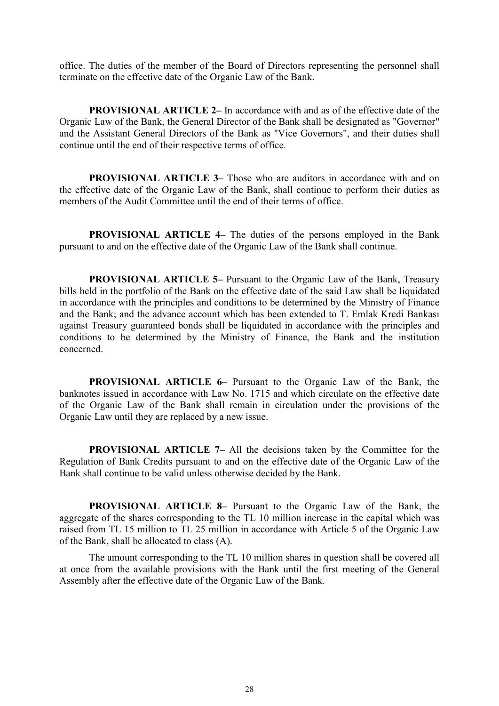office. The duties of the member of the Board of Directors representing the personnel shall terminate on the effective date of the Organic Law of the Bank.

PROVISIONAL ARTICLE 2– In accordance with and as of the effective date of the Organic Law of the Bank, the General Director of the Bank shall be designated as "Governor" and the Assistant General Directors of the Bank as "Vice Governors", and their duties shall continue until the end of their respective terms of office.

PROVISIONAL ARTICLE 3– Those who are auditors in accordance with and on the effective date of the Organic Law of the Bank, shall continue to perform their duties as members of the Audit Committee until the end of their terms of office.

PROVISIONAL ARTICLE 4– The duties of the persons employed in the Bank pursuant to and on the effective date of the Organic Law of the Bank shall continue.

PROVISIONAL ARTICLE 5– Pursuant to the Organic Law of the Bank, Treasury bills held in the portfolio of the Bank on the effective date of the said Law shall be liquidated in accordance with the principles and conditions to be determined by the Ministry of Finance and the Bank; and the advance account which has been extended to T. Emlak Kredi Bankası against Treasury guaranteed bonds shall be liquidated in accordance with the principles and conditions to be determined by the Ministry of Finance, the Bank and the institution concerned.

PROVISIONAL ARTICLE 6– Pursuant to the Organic Law of the Bank, the banknotes issued in accordance with Law No. 1715 and which circulate on the effective date of the Organic Law of the Bank shall remain in circulation under the provisions of the Organic Law until they are replaced by a new issue.

PROVISIONAL ARTICLE 7– All the decisions taken by the Committee for the Regulation of Bank Credits pursuant to and on the effective date of the Organic Law of the Bank shall continue to be valid unless otherwise decided by the Bank.

PROVISIONAL ARTICLE 8– Pursuant to the Organic Law of the Bank, the aggregate of the shares corresponding to the TL 10 million increase in the capital which was raised from TL 15 million to TL 25 million in accordance with Article 5 of the Organic Law of the Bank, shall be allocated to class (A).

The amount corresponding to the TL 10 million shares in question shall be covered all at once from the available provisions with the Bank until the first meeting of the General Assembly after the effective date of the Organic Law of the Bank.